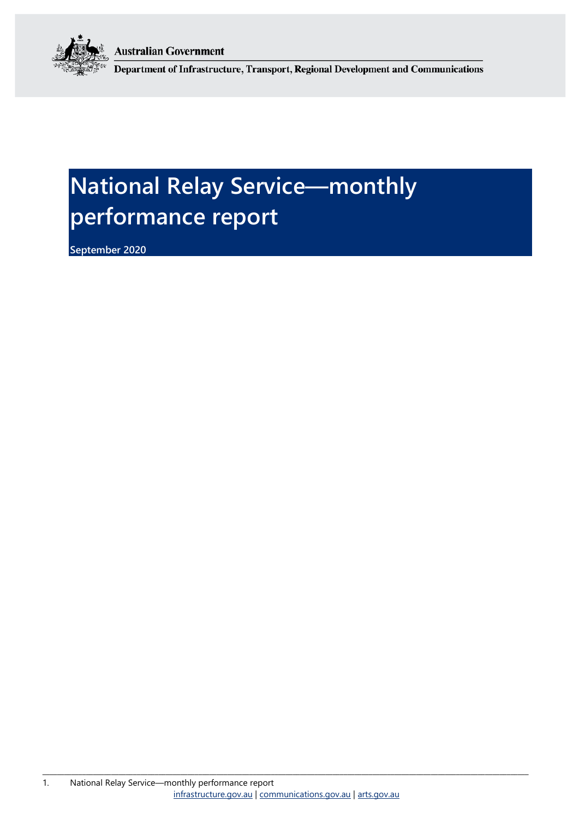**Australian Government** 



Department of Infrastructure, Transport, Regional Development and Communications

# **National Relay Service—monthly performance report**

**September 2020**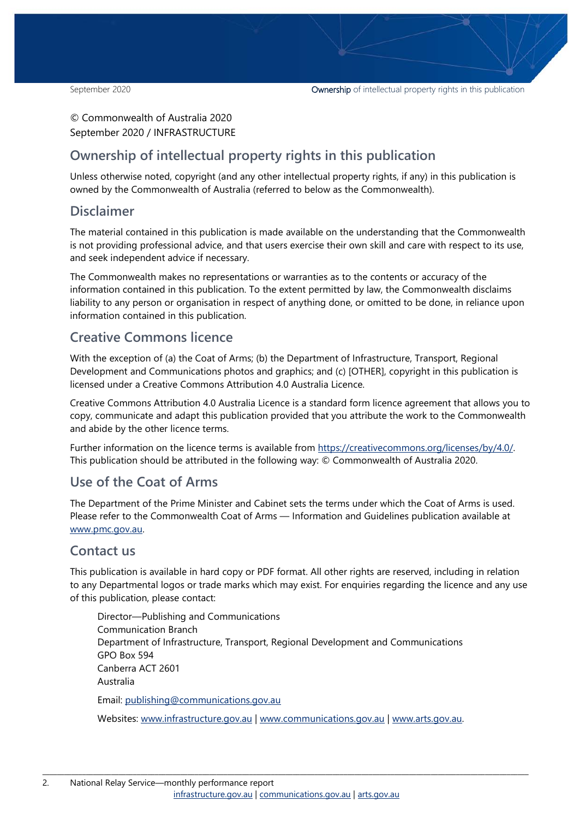#### © Commonwealth of Australia 2020 September 2020 / INFRASTRUCTURE

### **Ownership of intellectual property rights in this publication**

Unless otherwise noted, copyright (and any other intellectual property rights, if any) in this publication is owned by the Commonwealth of Australia (referred to below as the Commonwealth).

#### **Disclaimer**

The material contained in this publication is made available on the understanding that the Commonwealth is not providing professional advice, and that users exercise their own skill and care with respect to its use, and seek independent advice if necessary.

The Commonwealth makes no representations or warranties as to the contents or accuracy of the information contained in this publication. To the extent permitted by law, the Commonwealth disclaims liability to any person or organisation in respect of anything done, or omitted to be done, in reliance upon information contained in this publication.

### **Creative Commons licence**

With the exception of (a) the Coat of Arms; (b) the Department of Infrastructure, Transport, Regional Development and Communications photos and graphics; and (c) [OTHER], copyright in this publication is licensed under a Creative Commons Attribution 4.0 Australia Licence.

Creative Commons Attribution 4.0 Australia Licence is a standard form licence agreement that allows you to copy, communicate and adapt this publication provided that you attribute the work to the Commonwealth and abide by the other licence terms.

Further information on the licence terms is available from [https://creativecommons.org/licenses/by/4.0/.](https://creativecommons.org/licenses/by/4.0/) This publication should be attributed in the following way: © Commonwealth of Australia 2020.

### **Use of the Coat of Arms**

The Department of the Prime Minister and Cabinet sets the terms under which the Coat of Arms is used. Please refer to the Commonwealth Coat of Arms — Information and Guidelines publication available at [www.pmc.gov.au.](http://www.pmc.gov.au/) 

### **Contact us**

This publication is available in hard copy or PDF format. All other rights are reserved, including in relation to any Departmental logos or trade marks which may exist. For enquiries regarding the licence and any use of this publication, please contact:

Director—Publishing and Communications Communication Branch Department of Infrastructure, Transport, Regional Development and Communications GPO Box 594 Canberra ACT 2601 Australia Email: [publishing@communications.gov.au](mailto:publishing@communications.gov.au)

Websites: [www.infrastructure.gov.au](http://www.infrastructure.gov.au/) | [www.communications.gov.au](http://www.communications.gov.au/) | [www.arts.gov.au.](http://www.arts.gov.au/)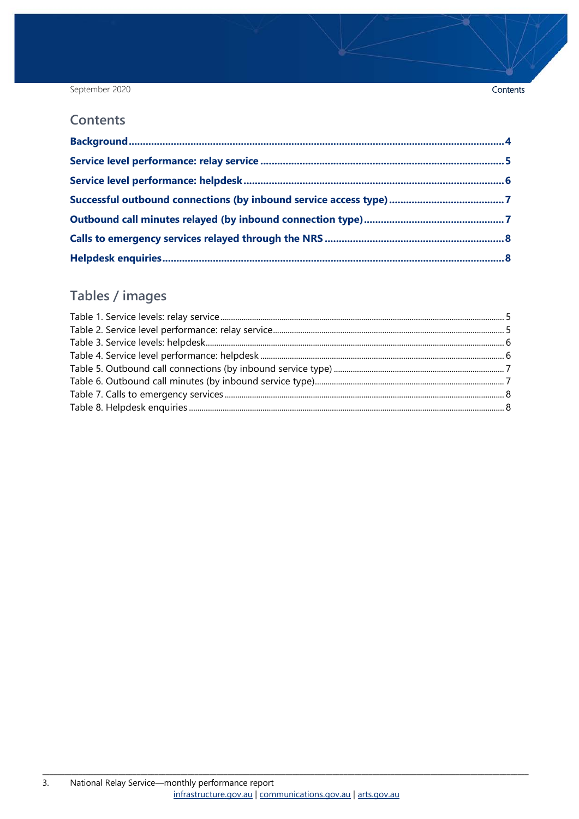#### September 2020

#### **Contents**

### Tables / images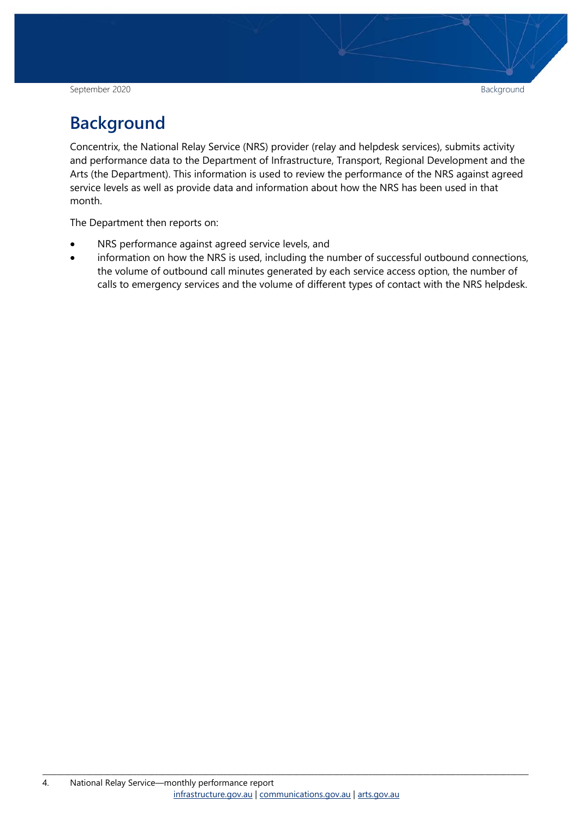September 2020 Background Background Background Background Background Background Background Background Background

# <span id="page-3-0"></span>**Background**

Concentrix, the National Relay Service (NRS) provider (relay and helpdesk services), submits activity and performance data to the Department of Infrastructure, Transport, Regional Development and the Arts (the Department). This information is used to review the performance of the NRS against agreed service levels as well as provide data and information about how the NRS has been used in that month.

The Department then reports on:

- NRS performance against agreed service levels, and
- information on how the NRS is used, including the number of successful outbound connections, the volume of outbound call minutes generated by each service access option, the number of calls to emergency services and the volume of different types of contact with the NRS helpdesk.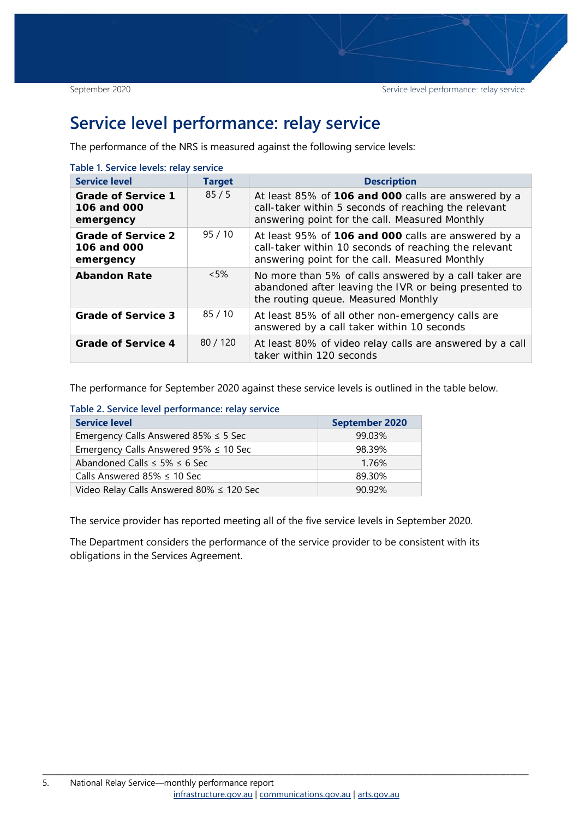### <span id="page-4-0"></span>**Service level performance: relay service**

The performance of the NRS is measured against the following service levels:

<span id="page-4-1"></span>

| <b>Service level</b>                                  | <b>Target</b> | <b>Description</b>                                                                                                                                             |
|-------------------------------------------------------|---------------|----------------------------------------------------------------------------------------------------------------------------------------------------------------|
| <b>Grade of Service 1</b><br>106 and 000<br>emergency | 85/5          | At least 85% of 106 and 000 calls are answered by a<br>call-taker within 5 seconds of reaching the relevant<br>answering point for the call. Measured Monthly  |
| <b>Grade of Service 2</b><br>106 and 000<br>emergency | 95/10         | At least 95% of 106 and 000 calls are answered by a<br>call-taker within 10 seconds of reaching the relevant<br>answering point for the call. Measured Monthly |
| <b>Abandon Rate</b>                                   | $< 5\%$       | No more than 5% of calls answered by a call taker are<br>abandoned after leaving the IVR or being presented to<br>the routing queue. Measured Monthly          |
| <b>Grade of Service 3</b>                             | 85/10         | At least 85% of all other non-emergency calls are<br>answered by a call taker within 10 seconds                                                                |
| <b>Grade of Service 4</b>                             | 80/120        | At least 80% of video relay calls are answered by a call<br>taker within 120 seconds                                                                           |

The performance for September 2020 against these service levels is outlined in the table below.

| Table 2. Service level performance: relay service |                       |  |  |  |
|---------------------------------------------------|-----------------------|--|--|--|
| <b>Service level</b>                              | <b>September 2020</b> |  |  |  |
| Emergency Calls Answered 85% $\leq$ 5 Sec         | 99.03%                |  |  |  |
| Emergency Calls Answered $95\% \leq 10$ Sec       | 98.39%                |  |  |  |
| Abandoned Calls $\leq$ 5% $\leq$ 6 Sec            | 1.76%                 |  |  |  |
| Calls Answered 85% $\leq$ 10 Sec                  | 89.30%                |  |  |  |
| Video Relay Calls Answered 80% ≤ 120 Sec          | 90.92%                |  |  |  |

<span id="page-4-2"></span>**Table 2. Service level performance: relay service** 

The service provider has reported meeting all of the five service levels in September 2020.

The Department considers the performance of the service provider to be consistent with its obligations in the Services Agreement.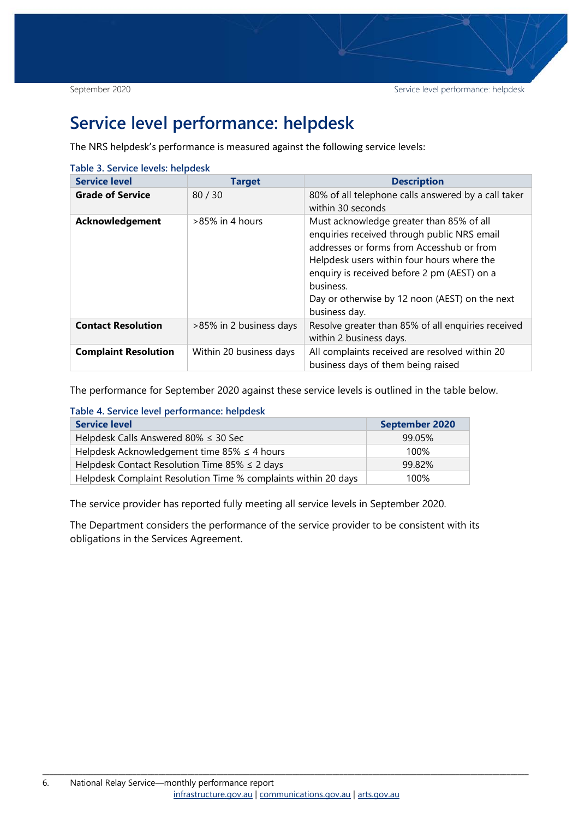### <span id="page-5-0"></span>**Service level performance: helpdesk**

The NRS helpdesk's performance is measured against the following service levels:

<span id="page-5-1"></span>

| Table 3. Service levels: helpdesk |                         |                                                                                                                                                                                                                                                                                                                   |  |  |  |
|-----------------------------------|-------------------------|-------------------------------------------------------------------------------------------------------------------------------------------------------------------------------------------------------------------------------------------------------------------------------------------------------------------|--|--|--|
| <b>Service level</b>              | <b>Target</b>           | <b>Description</b>                                                                                                                                                                                                                                                                                                |  |  |  |
| <b>Grade of Service</b>           | 80/30                   | 80% of all telephone calls answered by a call taker<br>within 30 seconds                                                                                                                                                                                                                                          |  |  |  |
| Acknowledgement                   | $>85\%$ in 4 hours      | Must acknowledge greater than 85% of all<br>enquiries received through public NRS email<br>addresses or forms from Accesshub or from<br>Helpdesk users within four hours where the<br>enquiry is received before 2 pm (AEST) on a<br>business.<br>Day or otherwise by 12 noon (AEST) on the next<br>business day. |  |  |  |
| <b>Contact Resolution</b>         | >85% in 2 business days | Resolve greater than 85% of all enquiries received<br>within 2 business days.                                                                                                                                                                                                                                     |  |  |  |
| <b>Complaint Resolution</b>       | Within 20 business days | All complaints received are resolved within 20<br>business days of them being raised                                                                                                                                                                                                                              |  |  |  |

The performance for September 2020 against these service levels is outlined in the table below.

<span id="page-5-2"></span>

|  | Table 4. Service level performance: helpdesk |
|--|----------------------------------------------|
|--|----------------------------------------------|

| <b>Service level</b>                                           | <b>September 2020</b> |
|----------------------------------------------------------------|-----------------------|
| Helpdesk Calls Answered 80% $\leq$ 30 Sec                      | 99.05%                |
| Helpdesk Acknowledgement time 85% $\leq$ 4 hours               | 100%                  |
| Helpdesk Contact Resolution Time 85% $\leq$ 2 days             | 99.82%                |
| Helpdesk Complaint Resolution Time % complaints within 20 days | 100%                  |

The service provider has reported fully meeting all service levels in September 2020.

The Department considers the performance of the service provider to be consistent with its obligations in the Services Agreement.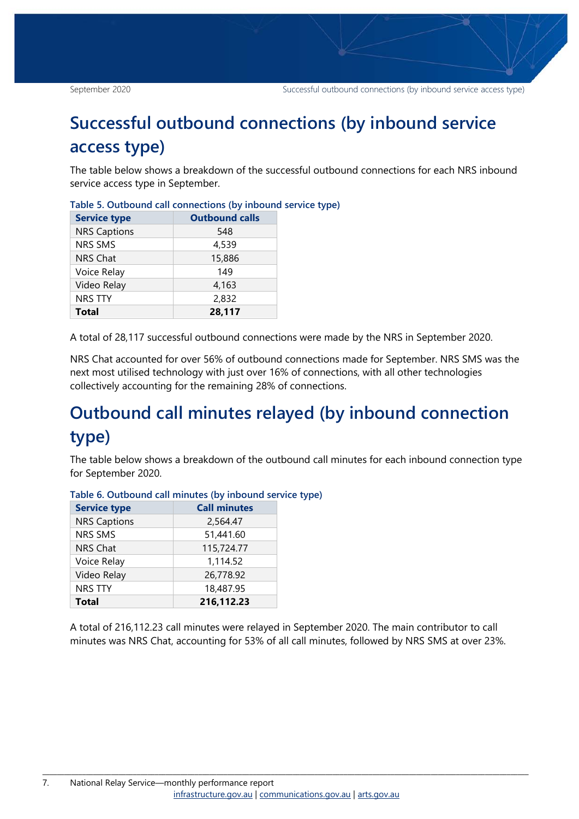## <span id="page-6-0"></span>**Successful outbound connections (by inbound service access type)**

The table below shows a breakdown of the successful outbound connections for each NRS inbound service access type in September.

| <b>Service type</b> | <b>Outbound calls</b> |  |  |
|---------------------|-----------------------|--|--|
| <b>NRS Captions</b> | 548                   |  |  |
| <b>NRS SMS</b>      | 4,539                 |  |  |
| <b>NRS Chat</b>     | 15,886                |  |  |
| Voice Relay         | 149                   |  |  |
| Video Relay         | 4,163                 |  |  |
| <b>NRS TTY</b>      | 2,832                 |  |  |
| <b>Total</b>        | 28,117                |  |  |

<span id="page-6-2"></span>

|  | Table 5. Outbound call connections (by inbound service type) |  |  |
|--|--------------------------------------------------------------|--|--|
|  |                                                              |  |  |

A total of 28,117 successful outbound connections were made by the NRS in September 2020.

NRS Chat accounted for over 56% of outbound connections made for September. NRS SMS was the next most utilised technology with just over 16% of connections, with all other technologies collectively accounting for the remaining 28% of connections.

# <span id="page-6-1"></span>**Outbound call minutes relayed (by inbound connection type)**

The table below shows a breakdown of the outbound call minutes for each inbound connection type for September 2020.

| <b>Service type</b> | <b>Call minutes</b> |
|---------------------|---------------------|
| <b>NRS Captions</b> | 2,564.47            |
| <b>NRS SMS</b>      | 51,441.60           |
| <b>NRS Chat</b>     | 115,724.77          |
| Voice Relay         | 1,114.52            |
| Video Relay         | 26,778.92           |
| <b>NRS TTY</b>      | 18,487.95           |
| <b>Total</b>        | 216,112.23          |

<span id="page-6-3"></span>**Table 6. Outbound call minutes (by inbound service type)**

A total of 216,112.23 call minutes were relayed in September 2020. The main contributor to call minutes was NRS Chat, accounting for 53% of all call minutes, followed by NRS SMS at over 23%.